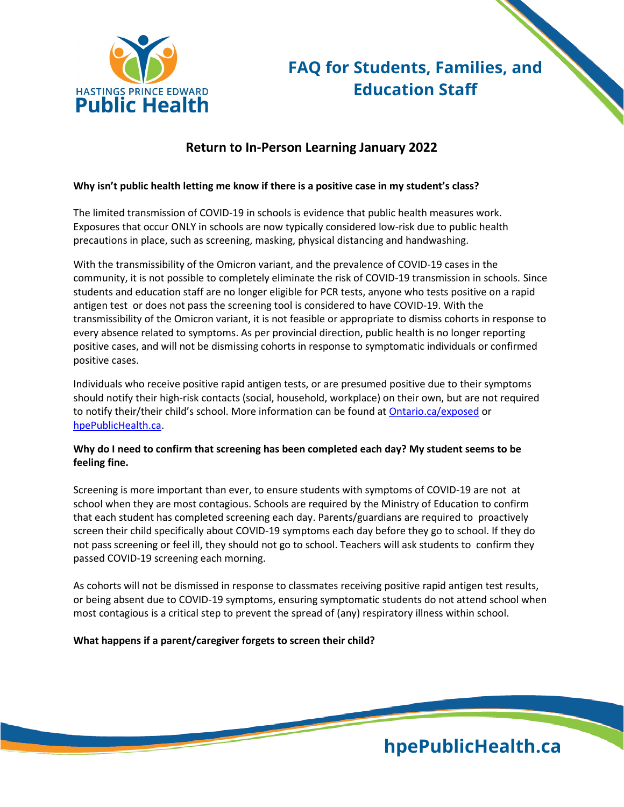

# **FAQ for Students, Families, and Education Staff**

# **Return to In-Person Learning January 2022**

# **Why isn't public health letting me know if there is a positive case in my student's class?**

The limited transmission of COVID-19 in schools is evidence that public health measures work. Exposures that occur ONLY in schools are now typically considered low-risk due to public health precautions in place, such as screening, masking, physical distancing and handwashing.

With the transmissibility of the Omicron variant, and the prevalence of COVID-19 cases in the community, it is not possible to completely eliminate the risk of COVID-19 transmission in schools. Since students and education staff are no longer eligible for PCR tests, anyone who tests positive on a rapid antigen test or does not pass the screening tool is considered to have COVID-19. With the transmissibility of the Omicron variant, it is not feasible or appropriate to dismiss cohorts in response to every absence related to symptoms. As per provincial direction, public health is no longer reporting positive cases, and will not be dismissing cohorts in response to symptomatic individuals or confirmed positive cases.

Individuals who receive positive rapid antigen tests, or are presumed positive due to their symptoms should notify their high-risk contacts (social, household, workplace) on their own, but are not required to notify their/their child's school. More information can be found at [Ontario.ca/exposed](https://covid-19.ontario.ca/exposed) or [hpePublicHealth.ca.](http://www.hpepublichealth.ca/)

# **Why do I need to confirm that screening has been completed each day? My student seems to be feeling fine.**

Screening is more important than ever, to ensure students with symptoms of COVID-19 are not at school when they are most contagious. Schools are required by the Ministry of Education to confirm that each student has completed screening each day. Parents/guardians are required to proactively screen their child specifically about COVID-19 symptoms each day before they go to school. If they do not pass screening or feel ill, they should not go to school. Teachers will ask students to confirm they passed COVID-19 screening each morning.

As cohorts will not be dismissed in response to classmates receiving positive rapid antigen test results, or being absent due to COVID-19 symptoms, ensuring symptomatic students do not attend school when most contagious is a critical step to prevent the spread of (any) respiratory illness within school.

#### **What happens if a parent/caregiver forgets to screen their child?**

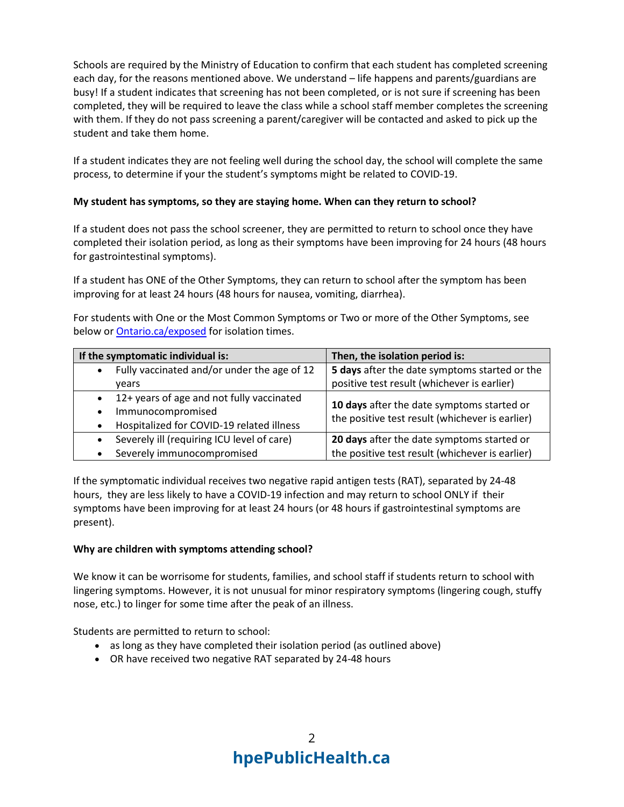Schools are required by the Ministry of Education to confirm that each student has completed screening each day, for the reasons mentioned above. We understand – life happens and parents/guardians are busy! If a student indicates that screening has not been completed, or is not sure if screening has been completed, they will be required to leave the class while a school staff member completes the screening with them. If they do not pass screening a parent/caregiver will be contacted and asked to pick up the student and take them home.

If a student indicates they are not feeling well during the school day, the school will complete the same process, to determine if your the student's symptoms might be related to COVID-19.

# **My student has symptoms, so they are staying home. When can they return to school?**

If a student does not pass the school screener, they are permitted to return to school once they have completed their isolation period, as long as their symptoms have been improving for 24 hours (48 hours for gastrointestinal symptoms).

If a student has ONE of the Other Symptoms, they can return to school after the symptom has been improving for at least 24 hours (48 hours for nausea, vomiting, diarrhea).

For students with One or the Most Common Symptoms or Two or more of the Other Symptoms, see below or [Ontario.ca/exposed](https://covid-19.ontario.ca/exposed) for isolation times.

| If the symptomatic individual is:                                                                           | Then, the isolation period is:                                                                |
|-------------------------------------------------------------------------------------------------------------|-----------------------------------------------------------------------------------------------|
| Fully vaccinated and/or under the age of 12                                                                 | 5 days after the date symptoms started or the                                                 |
| vears                                                                                                       | positive test result (whichever is earlier)                                                   |
| 12+ years of age and not fully vaccinated<br>Immunocompromised<br>Hospitalized for COVID-19 related illness | 10 days after the date symptoms started or<br>the positive test result (whichever is earlier) |
| Severely ill (requiring ICU level of care)<br>Severely immunocompromised                                    | 20 days after the date symptoms started or<br>the positive test result (whichever is earlier) |

If the symptomatic individual receives two negative rapid antigen tests (RAT), separated by 24-48 hours, they are less likely to have a COVID-19 infection and may return to school ONLY if their symptoms have been improving for at least 24 hours (or 48 hours if gastrointestinal symptoms are present).

#### **Why are children with symptoms attending school?**

We know it can be worrisome for students, families, and school staff if students return to school with lingering symptoms. However, it is not unusual for minor respiratory symptoms (lingering cough, stuffy nose, etc.) to linger for some time after the peak of an illness.

Students are permitted to return to school:

- as long as they have completed their isolation period (as outlined above)
- OR have received two negative RAT separated by 24-48 hours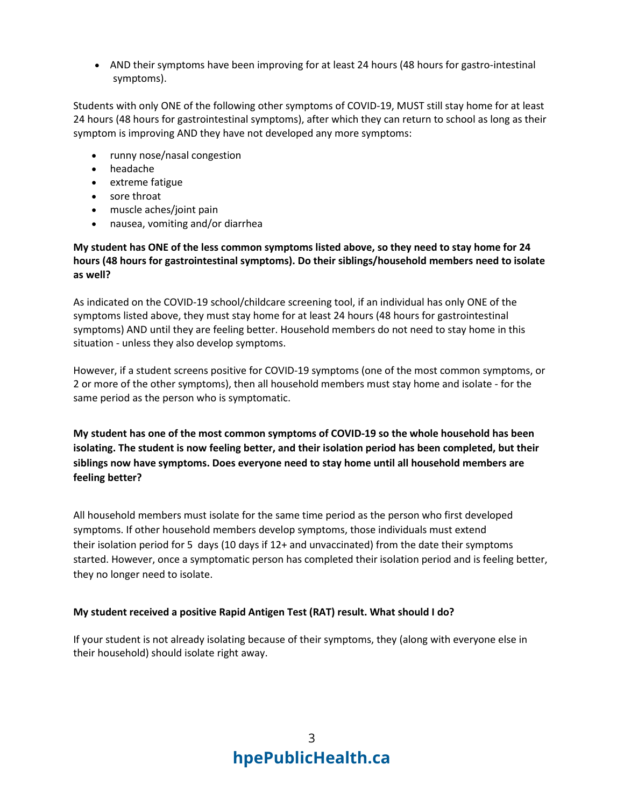• AND their symptoms have been improving for at least 24 hours (48 hours for gastro-intestinal symptoms).

Students with only ONE of the following other symptoms of COVID-19, MUST still stay home for at least 24 hours (48 hours for gastrointestinal symptoms), after which they can return to school as long as their symptom is improving AND they have not developed any more symptoms:

- runny nose/nasal congestion
- headache
- extreme fatigue
- sore throat
- muscle aches/joint pain
- nausea, vomiting and/or diarrhea

**My student has ONE of the less common symptoms listed above, so they need to stay home for 24 hours (48 hours for gastrointestinal symptoms). Do their siblings/household members need to isolate as well?**

As indicated on the COVID-19 school/childcare screening tool, if an individual has only ONE of the symptoms listed above, they must stay home for at least 24 hours (48 hours for gastrointestinal symptoms) AND until they are feeling better. Household members do not need to stay home in this situation - unless they also develop symptoms.

However, if a student screens positive for COVID-19 symptoms (one of the most common symptoms, or 2 or more of the other symptoms), then all household members must stay home and isolate - for the same period as the person who is symptomatic.

**My student has one of the most common symptoms of COVID-19 so the whole household has been isolating. The student is now feeling better, and their isolation period has been completed, but their siblings now have symptoms. Does everyone need to stay home until all household members are feeling better?**

All household members must isolate for the same time period as the person who first developed symptoms. If other household members develop symptoms, those individuals must extend their isolation period for 5 days (10 days if 12+ and unvaccinated) from the date their symptoms started. However, once a symptomatic person has completed their isolation period and is feeling better, they no longer need to isolate.

#### **My student received a positive Rapid Antigen Test (RAT) result. What should I do?**

If your student is not already isolating because of their symptoms, they (along with everyone else in their household) should isolate right away.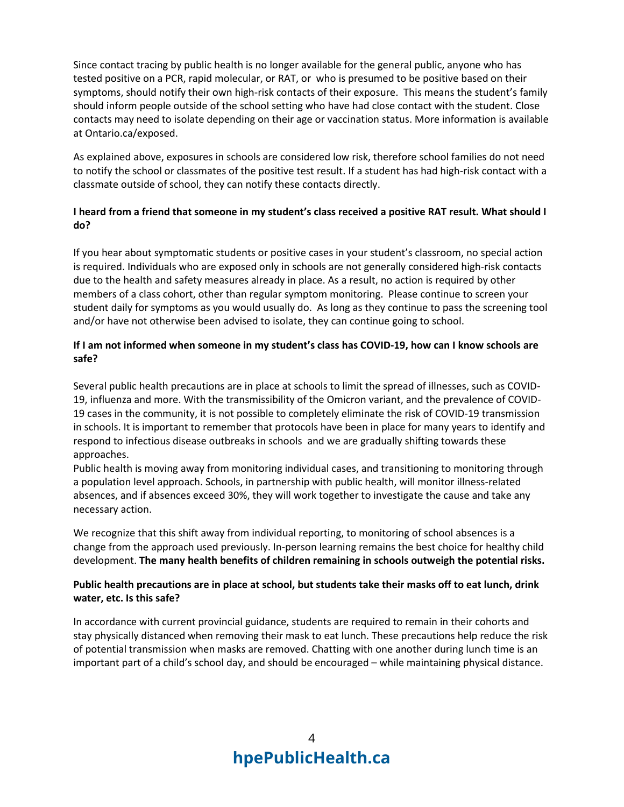Since contact tracing by public health is no longer available for the general public, anyone who has tested positive on a PCR, rapid molecular, or RAT, or who is presumed to be positive based on their symptoms, should notify their own high-risk contacts of their exposure. This means the student's family should inform people outside of the school setting who have had close contact with the student. Close contacts may need to isolate depending on their age or vaccination status. More information is available at Ontario.ca/exposed.

As explained above, exposures in schools are considered low risk, therefore school families do not need to notify the school or classmates of the positive test result. If a student has had high-risk contact with a classmate outside of school, they can notify these contacts directly.

# **I heard from a friend that someone in my student's class received a positive RAT result. What should I do?**

If you hear about symptomatic students or positive cases in your student's classroom, no special action is required. Individuals who are exposed only in schools are not generally considered high-risk contacts due to the health and safety measures already in place. As a result, no action is required by other members of a class cohort, other than regular symptom monitoring. Please continue to screen your student daily for symptoms as you would usually do. As long as they continue to pass the screening tool and/or have not otherwise been advised to isolate, they can continue going to school.

# **If I am not informed when someone in my student's class has COVID-19, how can I know schools are safe?**

Several public health precautions are in place at schools to limit the spread of illnesses, such as COVID-19, influenza and more. With the transmissibility of the Omicron variant, and the prevalence of COVID-19 cases in the community, it is not possible to completely eliminate the risk of COVID-19 transmission in schools. It is important to remember that protocols have been in place for many years to identify and respond to infectious disease outbreaks in schools and we are gradually shifting towards these approaches.

Public health is moving away from monitoring individual cases, and transitioning to monitoring through a population level approach. Schools, in partnership with public health, will monitor illness-related absences, and if absences exceed 30%, they will work together to investigate the cause and take any necessary action.

We recognize that this shift away from individual reporting, to monitoring of school absences is a change from the approach used previously. In-person learning remains the best choice for healthy child development. **The many health benefits of children remaining in schools outweigh the potential risks.**

# **Public health precautions are in place at school, but students take their masks off to eat lunch, drink water, etc. Is this safe?**

In accordance with current provincial guidance, students are required to remain in their cohorts and stay physically distanced when removing their mask to eat lunch. These precautions help reduce the risk of potential transmission when masks are removed. Chatting with one another during lunch time is an important part of a child's school day, and should be encouraged – while maintaining physical distance.